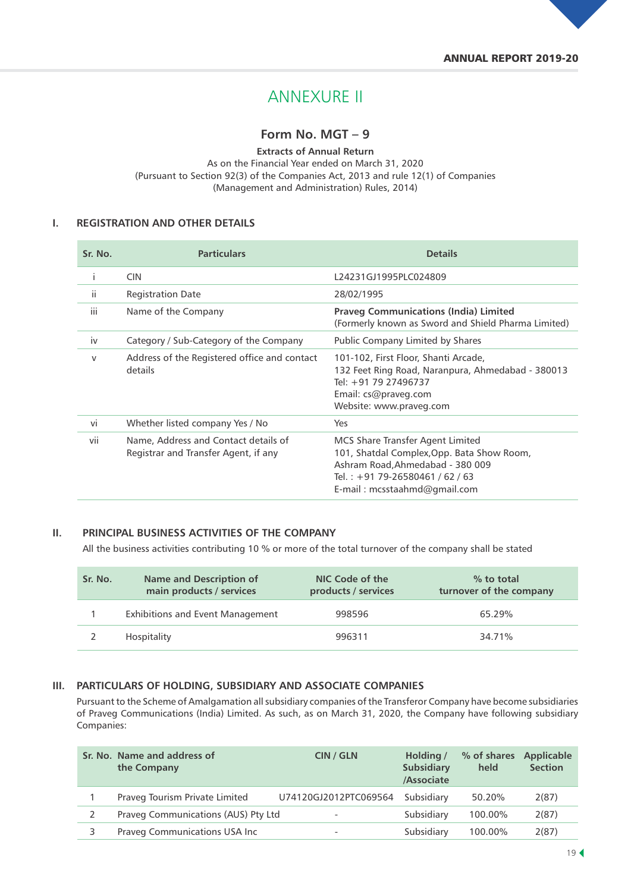# ANNEXURE II

# **Form No. MGT – 9**

**Extracts of Annual Return** As on the Financial Year ended on March 31, 2020 (Pursuant to Section 92(3) of the Companies Act, 2013 and rule 12(1) of Companies (Management and Administration) Rules, 2014)

#### **I. REGISTRATION AND OTHER DETAILS**

| Sr. No.      | <b>Particulars</b>                                                           | <b>Details</b>                                                                                                                                                                          |
|--------------|------------------------------------------------------------------------------|-----------------------------------------------------------------------------------------------------------------------------------------------------------------------------------------|
| j.           | <b>CIN</b>                                                                   | L24231GJ1995PLC024809                                                                                                                                                                   |
| ii.          | <b>Registration Date</b>                                                     | 28/02/1995                                                                                                                                                                              |
| iii          | Name of the Company                                                          | <b>Praveg Communications (India) Limited</b><br>(Formerly known as Sword and Shield Pharma Limited)                                                                                     |
| iv           | Category / Sub-Category of the Company                                       | Public Company Limited by Shares                                                                                                                                                        |
| $\mathsf{V}$ | Address of the Registered office and contact<br>details                      | 101-102, First Floor, Shanti Arcade,<br>132 Feet Ring Road, Naranpura, Ahmedabad - 380013<br>Tel: +91 79 27496737<br>Email: cs@praveg.com<br>Website: www.praveg.com                    |
| vi           | Whether listed company Yes / No                                              | Yes                                                                                                                                                                                     |
| vii          | Name, Address and Contact details of<br>Registrar and Transfer Agent, if any | MCS Share Transfer Agent Limited<br>101, Shatdal Complex, Opp. Bata Show Room,<br>Ashram Road, Ahmedabad - 380 009<br>Tel.: $+91$ 79-26580461 / 62 / 63<br>E-mail: mcsstaahmd@gmail.com |

#### **II. PRINCIPAL BUSINESS ACTIVITIES OF THE COMPANY**

All the business activities contributing 10 % or more of the total turnover of the company shall be stated

| Sr. No. | <b>Name and Description of</b><br>main products / services | NIC Code of the<br>products / services | % to total<br>turnover of the company |
|---------|------------------------------------------------------------|----------------------------------------|---------------------------------------|
|         | <b>Exhibitions and Event Management</b>                    | 998596                                 | 65.29%                                |
|         | Hospitality                                                | 996311                                 | 34.71%                                |

#### **III. PARTICULARS OF HOLDING, SUBSIDIARY AND ASSOCIATE COMPANIES**

Pursuant to the Scheme of Amalgamation all subsidiary companies of the Transferor Company have become subsidiaries of Praveg Communications (India) Limited. As such, as on March 31, 2020, the Company have following subsidiary Companies:

| Sr. No. Name and address of<br>the Company | CIN / GLN                | Holding /<br><b>Subsidiary</b><br>/Associate | % of shares<br>held | <b>Applicable</b><br><b>Section</b> |
|--------------------------------------------|--------------------------|----------------------------------------------|---------------------|-------------------------------------|
| Praveg Tourism Private Limited             | U74120GJ2012PTC069564    | Subsidiary                                   | 50.20%              | 2(87)                               |
| Praveg Communications (AUS) Pty Ltd        | $\overline{\phantom{a}}$ | Subsidiary                                   | 100.00%             | 2(87)                               |
| Praveg Communications USA Inc              | $\overline{\phantom{a}}$ | Subsidiary                                   | 100.00%             | 2(87)                               |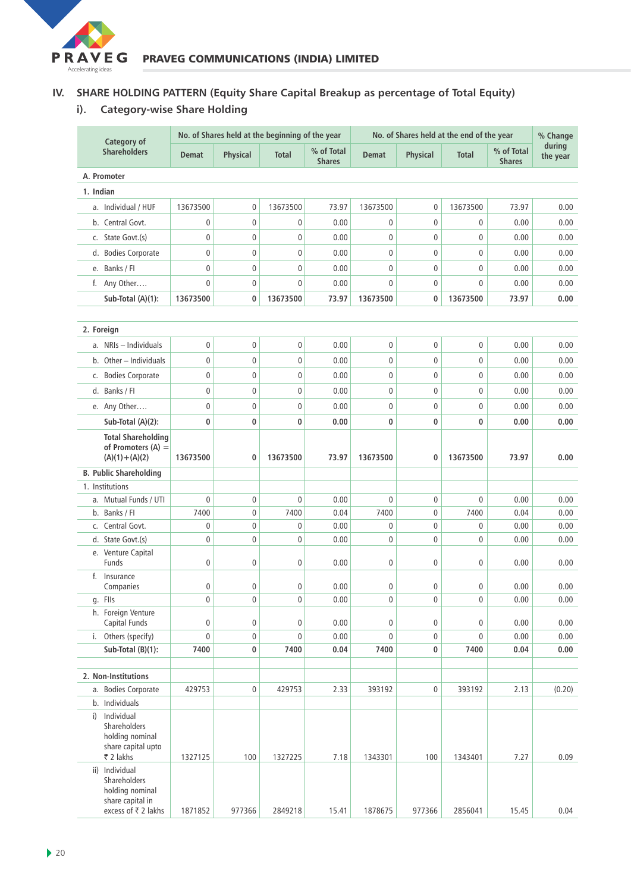

# **IV. SHARE HOLDING PATTERN (Equity Share Capital Breakup as percentage of Total Equity)**

# **i). Category-wise Share Holding**

| Category of |                                                                                              |              | No. of Shares held at the beginning of the year |             |                             | No. of Shares held at the end of the year |                 |                  |                             | % Change           |
|-------------|----------------------------------------------------------------------------------------------|--------------|-------------------------------------------------|-------------|-----------------------------|-------------------------------------------|-----------------|------------------|-----------------------------|--------------------|
|             | <b>Shareholders</b>                                                                          | <b>Demat</b> | <b>Physical</b>                                 | Total       | % of Total<br><b>Shares</b> | <b>Demat</b>                              | <b>Physical</b> | <b>Total</b>     | % of Total<br><b>Shares</b> | during<br>the year |
|             | A. Promoter                                                                                  |              |                                                 |             |                             |                                           |                 |                  |                             |                    |
| 1. Indian   |                                                                                              |              |                                                 |             |                             |                                           |                 |                  |                             |                    |
|             | a. Individual / HUF                                                                          | 13673500     | $\mathbf{0}$                                    | 13673500    | 73.97                       | 13673500                                  | 0               | 13673500         | 73.97                       | 0.00               |
|             | b. Central Govt.                                                                             | 0            | $\mathbf{0}$                                    | 0           | 0.00                        | 0                                         | 0               | 0                | 0.00                        | 0.00               |
|             | c. State Govt.(s)                                                                            | $\mathbf{0}$ | 0                                               | 0           | 0.00                        | 0                                         | 0               | $\mathbf 0$      | 0.00                        | 0.00               |
|             | d. Bodies Corporate                                                                          | $\mathbf 0$  | $\mathbf 0$                                     | $\mathbf 0$ | 0.00                        | 0                                         | $\mathbf 0$     | $\pmb{0}$        | 0.00                        | 0.00               |
|             | e. Banks / Fl                                                                                | 0            | $\mathbf 0$                                     | 0           | 0.00                        | 0                                         | $\mathbf 0$     | $\mathbf 0$      | 0.00                        | 0.00               |
|             | f. Any Other                                                                                 | $\mathbf 0$  | $\mathbf{0}$                                    | 0           | 0.00                        | $\mathbf{0}$                              | $\mathbf 0$     | $\mathbf 0$      | 0.00                        | 0.00               |
|             | Sub-Total (A)(1):                                                                            | 13673500     | $\bf{0}$                                        | 13673500    | 73.97                       | 13673500                                  | 0               | 13673500         | 73.97                       | 0.00               |
|             |                                                                                              |              |                                                 |             |                             |                                           |                 |                  |                             |                    |
|             | 2. Foreign                                                                                   |              |                                                 |             |                             |                                           |                 |                  |                             |                    |
|             | a. NRIs - Individuals                                                                        | $\mathbf 0$  | $\mathbf 0$                                     | 0           | 0.00                        | $\mathbf 0$                               | 0               | 0                | 0.00                        | 0.00               |
|             | b. Other - Individuals                                                                       | 0            | $\mathbf 0$                                     | $\mathbf 0$ | 0.00                        | $\mathbf 0$                               | $\mathbf 0$     | $\boldsymbol{0}$ | 0.00                        | 0.00               |
|             | c. Bodies Corporate                                                                          | 0            | $\mathbf 0$                                     | 0           | 0.00                        | 0                                         | $\mathbf 0$     | $\mathbf 0$      | 0.00                        | 0.00               |
|             | d. Banks / FI                                                                                | $\mathbf{0}$ | $\mathbf{0}$                                    | 0           | 0.00                        | 0                                         | 0               | $\mathbf 0$      | 0.00                        | 0.00               |
|             | e. Any Other                                                                                 | 0            | $\mathbf 0$                                     | 0           | 0.00                        | 0                                         | $\mathbf 0$     | $\pmb{0}$        | 0.00                        | 0.00               |
|             | Sub-Total (A)(2):                                                                            | 0            | $\bf{0}$                                        | 0           | 0.00                        | 0                                         | 0               | 0                | 0.00                        | 0.00               |
|             | <b>Total Shareholding</b><br>of Promoters $(A)$ =<br>$(A)(1) + (A)(2)$                       | 13673500     | 0                                               | 13673500    | 73.97                       | 13673500                                  | 0               | 13673500         | 73.97                       | 0.00               |
|             | <b>B. Public Shareholding</b>                                                                |              |                                                 |             |                             |                                           |                 |                  |                             |                    |
|             | 1. Institutions                                                                              |              |                                                 |             |                             |                                           |                 |                  |                             |                    |
|             | a. Mutual Funds / UTI                                                                        | $\mathbf 0$  | $\mathbf 0$                                     | 0           | 0.00                        | $\mathbf 0$                               | 0               | $\mathbf 0$      | 0.00                        | 0.00               |
|             | b. Banks / Fl                                                                                | 7400         | $\mathbf 0$                                     | 7400        | 0.04                        | 7400                                      | 0               | 7400             | 0.04                        | 0.00               |
|             | c. Central Govt.                                                                             | 0            | $\mathbf 0$                                     | $\mathbf 0$ | 0.00                        | 0                                         | $\mathbf 0$     | 0                | 0.00                        | 0.00               |
|             | d. State Govt.(s)<br>e. Venture Capital                                                      | 0            | $\mathbf 0$                                     | 0           | 0.00                        | 0                                         | $\mathbf 0$     | $\mathbf 0$      | 0.00                        | 0.00               |
|             | Funds                                                                                        | 0            | $\mathbf{0}$                                    | 0           | 0.00                        | 0                                         | 0               | 0                | 0.00                        | 0.00               |
|             | f. Insurance<br>Companies                                                                    | 0            | 0                                               | 0           | 0.00                        | 0                                         | 0               | 0                | 0.00                        | 0.00               |
|             | g. Flls                                                                                      | 0            | 0                                               | 0           | 0.00                        | 0                                         | 0               | 0                | 0.00                        | 0.00               |
|             | h. Foreign Venture                                                                           |              |                                                 |             |                             |                                           |                 |                  |                             |                    |
|             | Capital Funds                                                                                | $\mathbf 0$  | $\pmb{0}$                                       | 0           | 0.00                        | 0                                         | 0               | 0                | 0.00                        | 0.00               |
|             | i. Others (specify)                                                                          | $\mathbf 0$  | $\pmb{0}$                                       | 0           | 0.00                        | $\mathbf 0$                               | 0               | $\mathbf 0$      | 0.00                        | 0.00               |
|             | Sub-Total (B)(1):                                                                            | 7400         | 0                                               | 7400        | 0.04                        | 7400                                      | 0               | 7400             | 0.04                        | 0.00               |
|             |                                                                                              |              |                                                 |             |                             |                                           |                 |                  |                             |                    |
|             | 2. Non-Institutions<br>a. Bodies Corporate                                                   | 429753       | 0                                               | 429753      | 2.33                        | 393192                                    | 0               | 393192           | 2.13                        | (0.20)             |
|             | b. Individuals                                                                               |              |                                                 |             |                             |                                           |                 |                  |                             |                    |
|             | i) Individual<br>Shareholders<br>holding nominal<br>share capital upto<br>₹ 2 lakhs          | 1327125      | 100                                             | 1327225     | 7.18                        | 1343301                                   | 100             | 1343401          | 7.27                        | 0.09               |
|             | ii) Individual<br>Shareholders<br>holding nominal<br>share capital in<br>excess of ₹ 2 lakhs | 1871852      | 977366                                          | 2849218     | 15.41                       | 1878675                                   | 977366          | 2856041          | 15.45                       | 0.04               |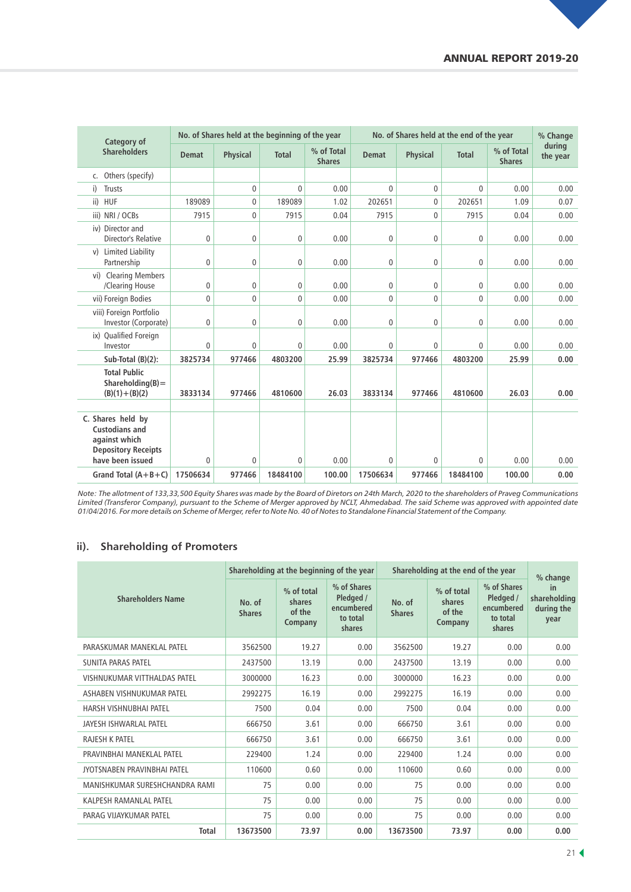| Category of                                                                                                   |              | No. of Shares held at the beginning of the year |              |                             | No. of Shares held at the end of the year |                 |              |                             | % Change           |
|---------------------------------------------------------------------------------------------------------------|--------------|-------------------------------------------------|--------------|-----------------------------|-------------------------------------------|-----------------|--------------|-----------------------------|--------------------|
| <b>Shareholders</b>                                                                                           | <b>Demat</b> | <b>Physical</b>                                 | <b>Total</b> | % of Total<br><b>Shares</b> | <b>Demat</b>                              | <b>Physical</b> | <b>Total</b> | % of Total<br><b>Shares</b> | during<br>the year |
| c. Others (specify)                                                                                           |              |                                                 |              |                             |                                           |                 |              |                             |                    |
| <b>Trusts</b><br>i)                                                                                           |              | $\mathbf 0$                                     | $\mathbf{0}$ | 0.00                        | $\Omega$                                  | $\mathbf{0}$    | $\mathbf{0}$ | 0.00                        | 0.00               |
| ii) HUF                                                                                                       | 189089       | $\mathbf 0$                                     | 189089       | 1.02                        | 202651                                    | $\mathbf{0}$    | 202651       | 1.09                        | 0.07               |
| iii) NRI / OCBs                                                                                               | 7915         | 0                                               | 7915         | 0.04                        | 7915                                      | $\mathbf 0$     | 7915         | 0.04                        | 0.00               |
| iv) Director and<br>Director's Relative                                                                       | 0            | 0                                               | $\mathbf 0$  | 0.00                        | 0                                         | $\mathbf{0}$    | $\mathbf 0$  | 0.00                        | 0.00               |
| v) Limited Liability<br>Partnership                                                                           | 0            | 0                                               | 0            | 0.00                        | 0                                         | 0               | $\mathbf 0$  | 0.00                        | 0.00               |
| vi) Clearing Members<br>/Clearing House                                                                       | 0            | 0                                               | $\mathbf 0$  | 0.00                        | 0                                         | 0               | $\mathbf{0}$ | 0.00                        | 0.00               |
| vii) Foreign Bodies                                                                                           | 0            | $\mathbf{0}$                                    | $\mathbf{0}$ | 0.00                        | 0                                         | $\mathbf{0}$    | $\mathbf{0}$ | 0.00                        | 0.00               |
| viii) Foreign Portfolio<br>Investor (Corporate)                                                               | 0            | $\mathbf 0$                                     | $\mathbf 0$  | 0.00                        | 0                                         | $\mathbf{0}$    | $\mathbf{0}$ | 0.00                        | 0.00               |
| ix) Qualified Foreign<br>Investor                                                                             | 0            | $\mathbf{0}$                                    | 0            | 0.00                        | 0                                         | $\mathbf{0}$    | $\mathbf{0}$ | 0.00                        | 0.00               |
| Sub-Total (B)(2):                                                                                             | 3825734      | 977466                                          | 4803200      | 25.99                       | 3825734                                   | 977466          | 4803200      | 25.99                       | 0.00               |
| <b>Total Public</b><br>Shareholding $(B)$ =<br>$(B)(1) + (B)(2)$                                              | 3833134      | 977466                                          | 4810600      | 26.03                       | 3833134                                   | 977466          | 4810600      | 26.03                       | 0.00               |
| C. Shares held by<br><b>Custodians and</b><br>against which<br><b>Depository Receipts</b><br>have been issued | 0            | 0                                               | $\mathbf 0$  | 0.00                        | 0                                         | 0               | $\mathbf 0$  | 0.00                        | 0.00               |
| Grand Total $(A+B+C)$                                                                                         | 17506634     | 977466                                          | 18484100     | 100.00                      | 17506634                                  | 977466          | 18484100     | 100.00                      | 0.00               |

*Note: The allotment of 133,33,500 Equity Shares was made by the Board of Diretors on 24th March, 2020 to the shareholders of Praveg Communications Limited (Transferor Company), pursuant to the Scheme of Merger approved by NCLT, Ahmedabad. The said Scheme was approved with appointed date 01/04/2016. For more details on Scheme of Merger, refer to Note No. 40 of Notes to Standalone Financial Statement of the Company.*

## **ii). Shareholding of Promoters**

|                                |                         |                                           | Shareholding at the beginning of the year                    | Shareholding at the end of the year | % change                                  |                                                              |                                          |
|--------------------------------|-------------------------|-------------------------------------------|--------------------------------------------------------------|-------------------------------------|-------------------------------------------|--------------------------------------------------------------|------------------------------------------|
| <b>Shareholders Name</b>       | No. of<br><b>Shares</b> | % of total<br>shares<br>of the<br>Company | % of Shares<br>Pledged /<br>encumbered<br>to total<br>shares | No. of<br><b>Shares</b>             | % of total<br>shares<br>of the<br>Company | % of Shares<br>Pledged /<br>encumbered<br>to total<br>shares | in<br>shareholding<br>during the<br>year |
| PARASKUMAR MANEKLAL PATEL      | 3562500                 | 19.27                                     | 0.00                                                         | 3562500                             | 19.27                                     | 0.00                                                         | 0.00                                     |
| <b>SUNITA PARAS PATEL</b>      | 2437500                 | 13.19                                     | 0.00                                                         | 2437500                             | 13.19                                     | 0.00                                                         | 0.00                                     |
| VISHNUKUMAR VITTHALDAS PATEL   | 3000000                 | 16.23                                     | 0.00                                                         | 3000000                             | 16.23                                     | 0.00                                                         | 0.00                                     |
| ASHABEN VISHNUKUMAR PATEL      | 2992275                 | 16.19                                     | 0.00                                                         | 2992275                             | 16.19                                     | 0.00                                                         | 0.00                                     |
| HARSH VISHNUBHAI PATEL         | 7500                    | 0.04                                      | 0.00                                                         | 7500                                | 0.04                                      | 0.00                                                         | 0.00                                     |
| JAYESH ISHWARLAL PATEL         | 666750                  | 3.61                                      | 0.00                                                         | 666750                              | 3.61                                      | 0.00                                                         | 0.00                                     |
| <b>RAJESH K PATEL</b>          | 666750                  | 3.61                                      | 0.00                                                         | 666750                              | 3.61                                      | 0.00                                                         | 0.00                                     |
| PRAVINBHAI MANEKLAL PATEL      | 229400                  | 1.24                                      | 0.00                                                         | 229400                              | 1.24                                      | 0.00                                                         | 0.00                                     |
| JYOTSNABEN PRAVINBHAI PATEL    | 110600                  | 0.60                                      | 0.00                                                         | 110600                              | 0.60                                      | 0.00                                                         | 0.00                                     |
| MANISHKUMAR SURESHCHANDRA RAMI | 75                      | 0.00                                      | 0.00                                                         | 75                                  | 0.00                                      | 0.00                                                         | 0.00                                     |
| KALPESH RAMANLAL PATEL         | 75                      | 0.00                                      | 0.00                                                         | 75                                  | 0.00                                      | 0.00                                                         | 0.00                                     |
| PARAG VIJAYKUMAR PATEL         | 75                      | 0.00                                      | 0.00                                                         | 75                                  | 0.00                                      | 0.00                                                         | 0.00                                     |
| <b>Total</b>                   | 13673500                | 73.97                                     | 0.00                                                         | 13673500                            | 73.97                                     | 0.00                                                         | 0.00                                     |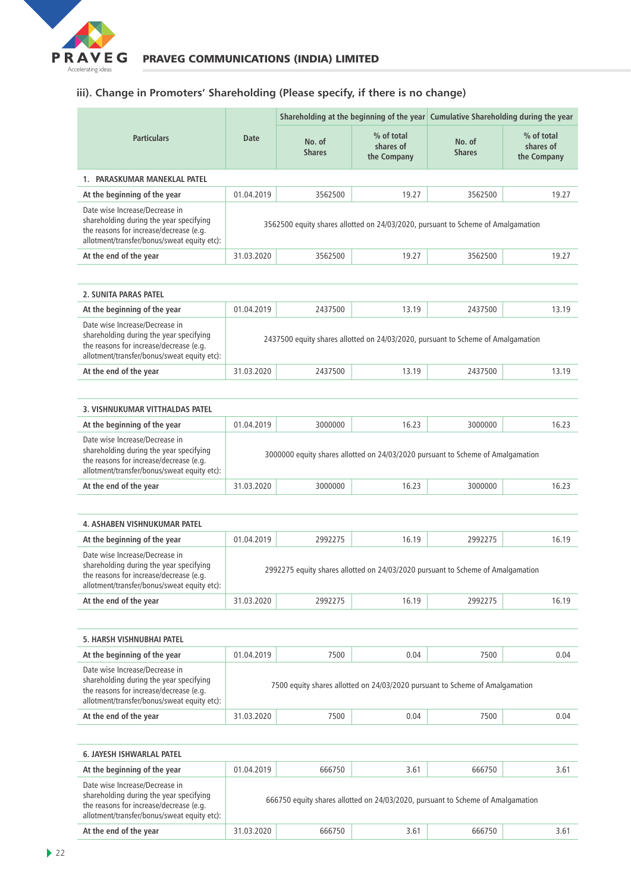

# **iii). Change in Promoters' Shareholding (Please specify, if there is no change)**

|                                                                                                                                                                     |                                                                                  |                                      |                                        | Shareholding at the beginning of the year Cumulative Shareholding during the year |                                          |  |  |
|---------------------------------------------------------------------------------------------------------------------------------------------------------------------|----------------------------------------------------------------------------------|--------------------------------------|----------------------------------------|-----------------------------------------------------------------------------------|------------------------------------------|--|--|
| <b>Particulars</b>                                                                                                                                                  | <b>Date</b>                                                                      | No. of<br><b>Shares</b>              | % of total<br>shares of<br>the Company | No. of<br><b>Shares</b>                                                           | $%$ of total<br>shares of<br>the Company |  |  |
| PARASKUMAR MANEKLAL PATEL                                                                                                                                           |                                                                                  |                                      |                                        |                                                                                   |                                          |  |  |
| At the beginning of the year                                                                                                                                        | 01.04.2019                                                                       | 3562500<br>19.27<br>3562500<br>19.27 |                                        |                                                                                   |                                          |  |  |
| Date wise Increase/Decrease in<br>shareholding during the year specifying<br>the reasons for increase/decrease (e.g.<br>allotment/transfer/bonus/sweat equity etc): | 3562500 equity shares allotted on 24/03/2020, pursuant to Scheme of Amalgamation |                                      |                                        |                                                                                   |                                          |  |  |
| At the end of the year                                                                                                                                              | 31.03.2020                                                                       | 19.27<br>3562500<br>19.27<br>3562500 |                                        |                                                                                   |                                          |  |  |

| 2. SUNITA PARAS PATEL                                                                                                                                               |                                                                                  |         |       |         |       |  |
|---------------------------------------------------------------------------------------------------------------------------------------------------------------------|----------------------------------------------------------------------------------|---------|-------|---------|-------|--|
| At the beginning of the year                                                                                                                                        | 01.04.2019                                                                       | 2437500 | 13.19 | 2437500 | 13.19 |  |
| Date wise Increase/Decrease in<br>shareholding during the year specifying<br>the reasons for increase/decrease (e.g.<br>allotment/transfer/bonus/sweat equity etc): | 2437500 equity shares allotted on 24/03/2020, pursuant to Scheme of Amalgamation |         |       |         |       |  |
| At the end of the year                                                                                                                                              | 31.03.2020                                                                       | 2437500 | 13.19 | 2437500 | 13.19 |  |

| 3. VISHNUKUMAR VITTHALDAS PATEL                                                                                                                                     |                                                                                 |         |       |         |       |  |
|---------------------------------------------------------------------------------------------------------------------------------------------------------------------|---------------------------------------------------------------------------------|---------|-------|---------|-------|--|
| At the beginning of the year                                                                                                                                        | 01.04.2019                                                                      | 3000000 | 16.23 | 3000000 | 16.23 |  |
| Date wise Increase/Decrease in<br>shareholding during the year specifying<br>the reasons for increase/decrease (e.g.<br>allotment/transfer/bonus/sweat equity etc): | 3000000 equity shares allotted on 24/03/2020 pursuant to Scheme of Amalgamation |         |       |         |       |  |
| At the end of the year                                                                                                                                              | 31.03.2020                                                                      | 3000000 | 16.23 | 3000000 | 16.23 |  |

| <b>4. ASHABEN VISHNUKUMAR PATEL</b>                                                                                                                                 |                                                                                 |         |       |         |       |  |  |
|---------------------------------------------------------------------------------------------------------------------------------------------------------------------|---------------------------------------------------------------------------------|---------|-------|---------|-------|--|--|
| At the beginning of the year                                                                                                                                        | 01.04.2019                                                                      | 2992275 | 16.19 | 2992275 | 16.19 |  |  |
| Date wise Increase/Decrease in<br>shareholding during the year specifying<br>the reasons for increase/decrease (e.g.<br>allotment/transfer/bonus/sweat equity etc): | 2992275 equity shares allotted on 24/03/2020 pursuant to Scheme of Amalgamation |         |       |         |       |  |  |
| At the end of the year<br>31.03.2020<br>16.19<br>2992275<br>2992275<br>16.19                                                                                        |                                                                                 |         |       |         |       |  |  |

| 5. HARSH VISHNUBHAI PATEL                                                                                                                                           |                                                                              |      |      |      |      |  |
|---------------------------------------------------------------------------------------------------------------------------------------------------------------------|------------------------------------------------------------------------------|------|------|------|------|--|
| At the beginning of the year                                                                                                                                        | 01.04.2019                                                                   | 7500 | 0.04 | 7500 | 0.04 |  |
| Date wise Increase/Decrease in<br>shareholding during the year specifying<br>the reasons for increase/decrease (e.g.<br>allotment/transfer/bonus/sweat equity etc): | 7500 equity shares allotted on 24/03/2020 pursuant to Scheme of Amalgamation |      |      |      |      |  |
| At the end of the year                                                                                                                                              | 31.03.2020                                                                   | 7500 | 0.04 | 7500 | 0.04 |  |

| <b>6. JAYESH ISHWARLAL PATEL</b>                                                                                                                                    |                                                                                 |        |      |        |      |  |  |
|---------------------------------------------------------------------------------------------------------------------------------------------------------------------|---------------------------------------------------------------------------------|--------|------|--------|------|--|--|
| At the beginning of the year                                                                                                                                        | 01.04.2019                                                                      | 666750 | 3.61 | 666750 | 3.61 |  |  |
| Date wise Increase/Decrease in<br>shareholding during the year specifying<br>the reasons for increase/decrease (e.g.<br>allotment/transfer/bonus/sweat equity etc): | 666750 equity shares allotted on 24/03/2020, pursuant to Scheme of Amalgamation |        |      |        |      |  |  |
| At the end of the year                                                                                                                                              | 31.03.2020                                                                      | 666750 | 3.61 | 666750 | 3.61 |  |  |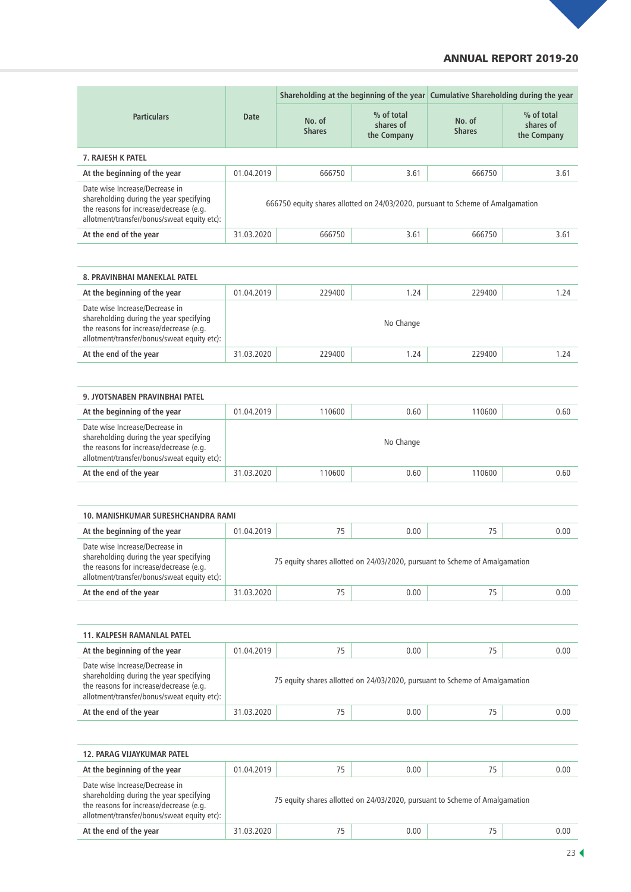## ANNUAL REPORT 2019-20

|                                                                                                                                                                     | Shareholding at the beginning of the year Cumulative Shareholding during the year |                         |                                        |                         |                                        |  |
|---------------------------------------------------------------------------------------------------------------------------------------------------------------------|-----------------------------------------------------------------------------------|-------------------------|----------------------------------------|-------------------------|----------------------------------------|--|
| <b>Particulars</b>                                                                                                                                                  | Date                                                                              | No. of<br><b>Shares</b> | % of total<br>shares of<br>the Company | No. of<br><b>Shares</b> | % of total<br>shares of<br>the Company |  |
| <b>7. RAJESH K PATEL</b>                                                                                                                                            |                                                                                   |                         |                                        |                         |                                        |  |
| At the beginning of the year                                                                                                                                        | 01.04.2019                                                                        | 666750                  | 3.61                                   | 666750                  | 3.61                                   |  |
| Date wise Increase/Decrease in<br>shareholding during the year specifying<br>the reasons for increase/decrease (e.g.<br>allotment/transfer/bonus/sweat equity etc): | 666750 equity shares allotted on 24/03/2020, pursuant to Scheme of Amalgamation   |                         |                                        |                         |                                        |  |
| At the end of the year                                                                                                                                              | 31.03.2020                                                                        | 666750                  | 3.61                                   | 666750                  | 3.61                                   |  |

| 8. PRAVINBHAI MANEKLAL PATEL                                                                                                                                        |            |        |           |        |      |
|---------------------------------------------------------------------------------------------------------------------------------------------------------------------|------------|--------|-----------|--------|------|
| At the beginning of the year                                                                                                                                        | 01.04.2019 | 229400 | 1.24      | 229400 | 1.24 |
| Date wise Increase/Decrease in<br>shareholding during the year specifying<br>the reasons for increase/decrease (e.g.<br>allotment/transfer/bonus/sweat equity etc): |            |        | No Change |        |      |
| At the end of the year                                                                                                                                              | 31.03.2020 | 229400 | 1.24      | 229400 | 1.24 |

| 9. JYOTSNABEN PRAVINBHAI PATEL                                                                                                                                      |            |        |           |        |      |  |  |
|---------------------------------------------------------------------------------------------------------------------------------------------------------------------|------------|--------|-----------|--------|------|--|--|
| At the beginning of the year                                                                                                                                        | 01.04.2019 | 110600 | 0.60      | 110600 | 0.60 |  |  |
| Date wise Increase/Decrease in<br>shareholding during the year specifying<br>the reasons for increase/decrease (e.g.<br>allotment/transfer/bonus/sweat equity etc): |            |        | No Change |        |      |  |  |
| At the end of the year                                                                                                                                              | 31.03.2020 | 110600 | 0.60      | 110600 | 0.60 |  |  |

| <b>10. MANISHKUMAR SURESHCHANDRA RAMI</b>                                                                                                                           |                                                                             |    |      |    |      |  |  |
|---------------------------------------------------------------------------------------------------------------------------------------------------------------------|-----------------------------------------------------------------------------|----|------|----|------|--|--|
| At the beginning of the year                                                                                                                                        | 01.04.2019                                                                  | 75 | 0.00 | 75 | 0.00 |  |  |
| Date wise Increase/Decrease in<br>shareholding during the year specifying<br>the reasons for increase/decrease (e.g.<br>allotment/transfer/bonus/sweat equity etc): | 75 equity shares allotted on 24/03/2020, pursuant to Scheme of Amalgamation |    |      |    |      |  |  |
| At the end of the year                                                                                                                                              | 31.03.2020                                                                  | 75 | 0.00 | 75 | 0.00 |  |  |

| <b>11. KALPESH RAMANLAL PATEL</b>                                                                                                                                   |                                                                             |    |      |    |      |  |  |
|---------------------------------------------------------------------------------------------------------------------------------------------------------------------|-----------------------------------------------------------------------------|----|------|----|------|--|--|
| At the beginning of the year                                                                                                                                        | 01.04.2019                                                                  | 75 | 0.00 | 75 | 0.00 |  |  |
| Date wise Increase/Decrease in<br>shareholding during the year specifying<br>the reasons for increase/decrease (e.g.<br>allotment/transfer/bonus/sweat equity etc): | 75 equity shares allotted on 24/03/2020, pursuant to Scheme of Amalgamation |    |      |    |      |  |  |
| At the end of the year                                                                                                                                              | 31.03.2020                                                                  | 75 | 0.00 | 75 | 0.00 |  |  |

| <b>12. PARAG VIJAYKUMAR PATEL</b>                                                                                                                                   |            |    |                                                                             |    |      |
|---------------------------------------------------------------------------------------------------------------------------------------------------------------------|------------|----|-----------------------------------------------------------------------------|----|------|
| At the beginning of the year                                                                                                                                        | 01.04.2019 | 75 | 0.00                                                                        | 75 | 0.00 |
| Date wise Increase/Decrease in<br>shareholding during the year specifying<br>the reasons for increase/decrease (e.g.<br>allotment/transfer/bonus/sweat equity etc): |            |    | 75 equity shares allotted on 24/03/2020, pursuant to Scheme of Amalgamation |    |      |
| At the end of the year                                                                                                                                              | 31.03.2020 | 75 | 0.00                                                                        | 75 | 0.00 |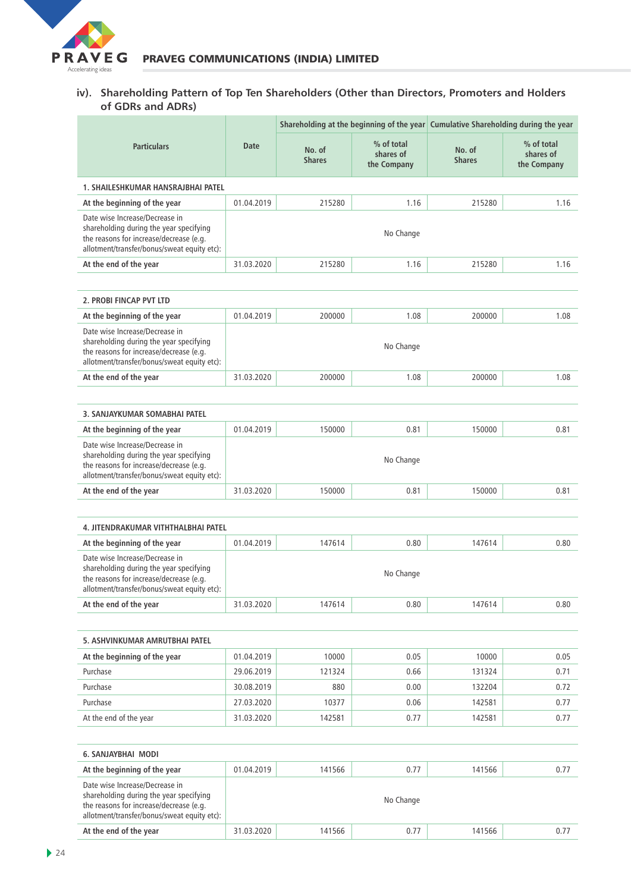

#### **iv). Shareholding Pattern of Top Ten Shareholders (Other than Directors, Promoters and Holders of GDRs and ADRs)**

|                                                                                                                                                                     |            |                         |                                        | Shareholding at the beginning of the year Cumulative Shareholding during the year |                                        |
|---------------------------------------------------------------------------------------------------------------------------------------------------------------------|------------|-------------------------|----------------------------------------|-----------------------------------------------------------------------------------|----------------------------------------|
| <b>Particulars</b>                                                                                                                                                  | Date       | No. of<br><b>Shares</b> | % of total<br>shares of<br>the Company | No. of<br><b>Shares</b>                                                           | % of total<br>shares of<br>the Company |
| 1. SHAILESHKUMAR HANSRAJBHAI PATEL                                                                                                                                  |            |                         |                                        |                                                                                   |                                        |
| At the beginning of the year                                                                                                                                        | 01.04.2019 | 215280                  | 1.16                                   | 215280                                                                            | 1.16                                   |
| Date wise Increase/Decrease in<br>shareholding during the year specifying<br>the reasons for increase/decrease (e.g.<br>allotment/transfer/bonus/sweat equity etc): |            |                         | No Change                              |                                                                                   |                                        |
| At the end of the year                                                                                                                                              | 31.03.2020 | 215280                  | 1.16                                   | 215280                                                                            | 1.16                                   |
|                                                                                                                                                                     |            |                         |                                        |                                                                                   |                                        |
| 2. PROBI FINCAP PVT LTD                                                                                                                                             |            |                         |                                        |                                                                                   |                                        |
| At the beginning of the year                                                                                                                                        | 01.04.2019 | 200000                  | 1.08                                   | 200000                                                                            | 1.08                                   |
| Date wise Increase/Decrease in<br>shareholding during the year specifying<br>the reasons for increase/decrease (e.g.<br>allotment/transfer/bonus/sweat equity etc): |            |                         | No Change                              |                                                                                   |                                        |
| At the end of the year                                                                                                                                              | 31.03.2020 | 200000                  | 1.08                                   | 200000                                                                            | 1.08                                   |
|                                                                                                                                                                     |            |                         |                                        |                                                                                   |                                        |
| 3. SANJAYKUMAR SOMABHAI PATEL                                                                                                                                       |            |                         |                                        |                                                                                   |                                        |
| At the beginning of the year                                                                                                                                        | 01.04.2019 | 150000                  | 0.81                                   | 150000                                                                            | 0.81                                   |
| Date wise Increase/Decrease in<br>shareholding during the year specifying<br>the reasons for increase/decrease (e.g.<br>allotment/transfer/bonus/sweat equity etc): |            |                         | No Change                              |                                                                                   |                                        |
| At the end of the year                                                                                                                                              | 31.03.2020 | 150000                  | 0.81                                   | 150000                                                                            | 0.81                                   |
|                                                                                                                                                                     |            |                         |                                        |                                                                                   |                                        |
| 4. JITENDRAKUMAR VITHTHALBHAI PATEL                                                                                                                                 |            |                         |                                        |                                                                                   |                                        |
| At the beginning of the year                                                                                                                                        | 01.04.2019 | 147614                  | 0.80                                   | 147614                                                                            | 0.80                                   |
| Date wise Increase/Decrease in<br>shareholding during the year specifying<br>the reasons for increase/decrease (e.g.<br>allotment/transfer/bonus/sweat equity etc): |            |                         | No Change                              |                                                                                   |                                        |
| At the end of the year                                                                                                                                              | 31.03.2020 | 147614                  | 0.80                                   | 147614                                                                            | 0.80                                   |
|                                                                                                                                                                     |            |                         |                                        |                                                                                   |                                        |
| 5. ASHVINKUMAR AMRUTBHAI PATEL                                                                                                                                      |            |                         |                                        |                                                                                   |                                        |
| At the beginning of the year                                                                                                                                        | 01.04.2019 | 10000                   | 0.05                                   | 10000                                                                             | 0.05                                   |
| Purchase                                                                                                                                                            | 29.06.2019 | 121324                  | 0.66                                   | 131324                                                                            | 0.71                                   |
| Purchase                                                                                                                                                            | 30.08.2019 | 880                     | 0.00                                   | 132204                                                                            | 0.72                                   |
| Purchase                                                                                                                                                            | 27.03.2020 | 10377                   | 0.06                                   | 142581                                                                            | 0.77                                   |
| At the end of the year                                                                                                                                              | 31.03.2020 | 142581                  | 0.77                                   | 142581                                                                            | 0.77                                   |
|                                                                                                                                                                     |            |                         |                                        |                                                                                   |                                        |
| <b>6. SANJAYBHAI MODI</b>                                                                                                                                           |            |                         |                                        |                                                                                   |                                        |
| At the beginning of the year                                                                                                                                        | 01.04.2019 | 141566                  | 0.77                                   | 141566                                                                            | 0.77                                   |
| Date wise Increase/Decrease in<br>shareholding during the year specifying<br>the reasons for increase/decrease (e.g.<br>allotment/transfer/bonus/sweat equity etc): |            |                         | No Change                              |                                                                                   |                                        |
| At the end of the year                                                                                                                                              | 31.03.2020 | 141566                  | 0.77                                   | 141566                                                                            | 0.77                                   |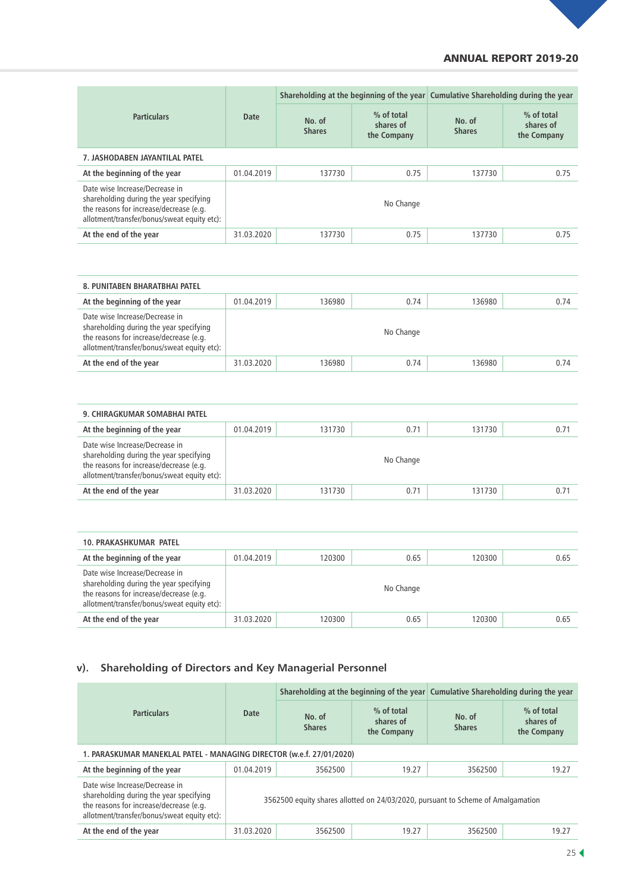## ANNUAL REPORT 2019-20

|                                                                                                                                                                     |            |                         |                                        | Shareholding at the beginning of the year Cumulative Shareholding during the year |                                        |  |
|---------------------------------------------------------------------------------------------------------------------------------------------------------------------|------------|-------------------------|----------------------------------------|-----------------------------------------------------------------------------------|----------------------------------------|--|
| <b>Particulars</b>                                                                                                                                                  | Date       | No. of<br><b>Shares</b> | % of total<br>shares of<br>the Company | No. of<br><b>Shares</b>                                                           | % of total<br>shares of<br>the Company |  |
| 7. JASHODABEN JAYANTILAL PATEL                                                                                                                                      |            |                         |                                        |                                                                                   |                                        |  |
| At the beginning of the year                                                                                                                                        | 01.04.2019 | 137730                  | 0.75                                   | 137730                                                                            | 0.75                                   |  |
| Date wise Increase/Decrease in<br>shareholding during the year specifying<br>the reasons for increase/decrease (e.g.<br>allotment/transfer/bonus/sweat equity etc): | No Change  |                         |                                        |                                                                                   |                                        |  |
| At the end of the year                                                                                                                                              | 31.03.2020 | 137730                  | 0.75                                   | 137730                                                                            | 0.75                                   |  |

| <b>8. PUNITABEN BHARATBHAI PATEL</b>                                                                                                                                |            |        |           |        |      |  |
|---------------------------------------------------------------------------------------------------------------------------------------------------------------------|------------|--------|-----------|--------|------|--|
| At the beginning of the year                                                                                                                                        | 01.04.2019 | 136980 | 0.74      | 136980 | 0.74 |  |
| Date wise Increase/Decrease in<br>shareholding during the year specifying<br>the reasons for increase/decrease (e.g.<br>allotment/transfer/bonus/sweat equity etc): |            |        | No Change |        |      |  |
| At the end of the year                                                                                                                                              | 31.03.2020 | 136980 | 0.74      | 136980 | 0.74 |  |

| 9. CHIRAGKUMAR SOMABHAI PATEL                                                                                                                                       |            |        |           |        |      |  |  |
|---------------------------------------------------------------------------------------------------------------------------------------------------------------------|------------|--------|-----------|--------|------|--|--|
| At the beginning of the year                                                                                                                                        | 01.04.2019 | 131730 | 0.71      | 131730 | 0.71 |  |  |
| Date wise Increase/Decrease in<br>shareholding during the year specifying<br>the reasons for increase/decrease (e.g.<br>allotment/transfer/bonus/sweat equity etc): |            |        | No Change |        |      |  |  |
| At the end of the year                                                                                                                                              | 31.03.2020 | 131730 | 0.71      | 131730 | 0.71 |  |  |

| <b>10. PRAKASHKUMAR PATEL</b>                                                                                                                                       |            |        |           |        |      |
|---------------------------------------------------------------------------------------------------------------------------------------------------------------------|------------|--------|-----------|--------|------|
| At the beginning of the year                                                                                                                                        | 01.04.2019 | 120300 | 0.65      | 120300 | 0.65 |
| Date wise Increase/Decrease in<br>shareholding during the year specifying<br>the reasons for increase/decrease (e.g.<br>allotment/transfer/bonus/sweat equity etc): |            |        | No Change |        |      |
| At the end of the year                                                                                                                                              | 31.03.2020 | 120300 | 0.65      | 120300 | 0.65 |

# **v). Shareholding of Directors and Key Managerial Personnel**

| <b>Particulars</b>                                                                                                                                                  | Shareholding at the beginning of the year Cumulative Shareholding during the year |                         |                                        |                         |                                        |  |
|---------------------------------------------------------------------------------------------------------------------------------------------------------------------|-----------------------------------------------------------------------------------|-------------------------|----------------------------------------|-------------------------|----------------------------------------|--|
|                                                                                                                                                                     | Date                                                                              | No. of<br><b>Shares</b> | % of total<br>shares of<br>the Company | No. of<br><b>Shares</b> | % of total<br>shares of<br>the Company |  |
| 1. PARASKUMAR MANEKLAL PATEL - MANAGING DIRECTOR (w.e.f. 27/01/2020)                                                                                                |                                                                                   |                         |                                        |                         |                                        |  |
| At the beginning of the year                                                                                                                                        | 01.04.2019                                                                        | 3562500                 | 19.27                                  | 3562500                 | 19.27                                  |  |
| Date wise Increase/Decrease in<br>shareholding during the year specifying<br>the reasons for increase/decrease (e.g.<br>allotment/transfer/bonus/sweat equity etc): | 3562500 equity shares allotted on 24/03/2020, pursuant to Scheme of Amalgamation  |                         |                                        |                         |                                        |  |
| At the end of the year                                                                                                                                              | 31.03.2020                                                                        | 3562500                 | 19.27                                  | 3562500                 | 19.27                                  |  |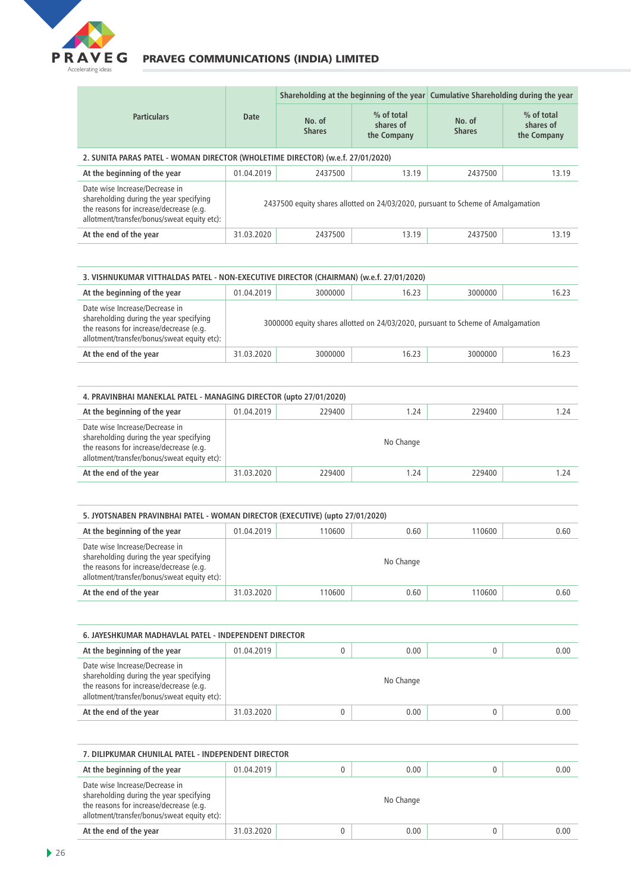

| <b>Particulars</b>                                                                                                                                                  |                                                                                  | Shareholding at the beginning of the year Cumulative Shareholding during the year |                                        |                         |                                        |  |  |
|---------------------------------------------------------------------------------------------------------------------------------------------------------------------|----------------------------------------------------------------------------------|-----------------------------------------------------------------------------------|----------------------------------------|-------------------------|----------------------------------------|--|--|
|                                                                                                                                                                     | <b>Date</b>                                                                      | No. of<br><b>Shares</b>                                                           | % of total<br>shares of<br>the Company | No. of<br><b>Shares</b> | % of total<br>shares of<br>the Company |  |  |
| 2. SUNITA PARAS PATEL - WOMAN DIRECTOR (WHOLETIME DIRECTOR) (w.e.f. 27/01/2020)                                                                                     |                                                                                  |                                                                                   |                                        |                         |                                        |  |  |
| At the beginning of the year                                                                                                                                        | 01.04.2019                                                                       | 2437500                                                                           | 13.19                                  | 2437500                 | 13.19                                  |  |  |
| Date wise Increase/Decrease in<br>shareholding during the year specifying<br>the reasons for increase/decrease (e.g.<br>allotment/transfer/bonus/sweat equity etc): | 2437500 equity shares allotted on 24/03/2020, pursuant to Scheme of Amalgamation |                                                                                   |                                        |                         |                                        |  |  |
| At the end of the year                                                                                                                                              | 31.03.2020                                                                       | 2437500                                                                           | 13.19                                  | 2437500                 | 13.19                                  |  |  |

| 3. VISHNUKUMAR VITTHALDAS PATEL - NON-EXECUTIVE DIRECTOR (CHAIRMAN) (w.e.f. 27/01/2020)                                                                             |                                                                                  |         |       |         |       |  |  |  |
|---------------------------------------------------------------------------------------------------------------------------------------------------------------------|----------------------------------------------------------------------------------|---------|-------|---------|-------|--|--|--|
| At the beginning of the year                                                                                                                                        | 01.04.2019                                                                       | 3000000 | 16.23 | 3000000 | 16.23 |  |  |  |
| Date wise Increase/Decrease in<br>shareholding during the year specifying<br>the reasons for increase/decrease (e.g.<br>allotment/transfer/bonus/sweat equity etc): | 3000000 equity shares allotted on 24/03/2020, pursuant to Scheme of Amalgamation |         |       |         |       |  |  |  |
| At the end of the year                                                                                                                                              | 31.03.2020                                                                       | 3000000 | 16.23 | 3000000 | 16.23 |  |  |  |

| 4. PRAVINBHAI MANEKLAL PATEL - MANAGING DIRECTOR (upto 27/01/2020)                                                                                                  |            |        |           |        |      |  |  |
|---------------------------------------------------------------------------------------------------------------------------------------------------------------------|------------|--------|-----------|--------|------|--|--|
| At the beginning of the year                                                                                                                                        | 01.04.2019 | 229400 | 1.24      | 229400 | 1.24 |  |  |
| Date wise Increase/Decrease in<br>shareholding during the year specifying<br>the reasons for increase/decrease (e.g.<br>allotment/transfer/bonus/sweat equity etc): |            |        | No Change |        |      |  |  |
| At the end of the year                                                                                                                                              | 31.03.2020 | 229400 | 1.24      | 229400 | 1.24 |  |  |

| 5. JYOTSNABEN PRAVINBHAI PATEL - WOMAN DIRECTOR (EXECUTIVE) (upto 27/01/2020)                                                                                       |            |        |           |        |      |  |  |
|---------------------------------------------------------------------------------------------------------------------------------------------------------------------|------------|--------|-----------|--------|------|--|--|
| At the beginning of the year                                                                                                                                        | 01.04.2019 | 110600 | 0.60      | 110600 | 0.60 |  |  |
| Date wise Increase/Decrease in<br>shareholding during the year specifying<br>the reasons for increase/decrease (e.g.<br>allotment/transfer/bonus/sweat equity etc): |            |        | No Change |        |      |  |  |
| At the end of the year                                                                                                                                              | 31.03.2020 | 110600 | 0.60      | 110600 | 0.60 |  |  |

| 6. JAYESHKUMAR MADHAVLAL PATEL - INDEPENDENT DIRECTOR |  |           |  |      |  |  |  |
|-------------------------------------------------------|--|-----------|--|------|--|--|--|
| 01.04.2019                                            |  | 0.00      |  | 0.00 |  |  |  |
|                                                       |  | No Change |  |      |  |  |  |
| 31.03.2020                                            |  | 0.00      |  | 0.00 |  |  |  |
|                                                       |  |           |  |      |  |  |  |

| 7. DILIPKUMAR CHUNILAL PATEL - INDEPENDENT DIRECTOR                                                                                                                 |            |  |           |  |      |  |  |
|---------------------------------------------------------------------------------------------------------------------------------------------------------------------|------------|--|-----------|--|------|--|--|
| At the beginning of the year                                                                                                                                        | 01.04.2019 |  | 0.00      |  | 0.00 |  |  |
| Date wise Increase/Decrease in<br>shareholding during the year specifying<br>the reasons for increase/decrease (e.g.<br>allotment/transfer/bonus/sweat equity etc): |            |  | No Change |  |      |  |  |
| At the end of the year                                                                                                                                              | 31.03.2020 |  | 0.00      |  | 0.00 |  |  |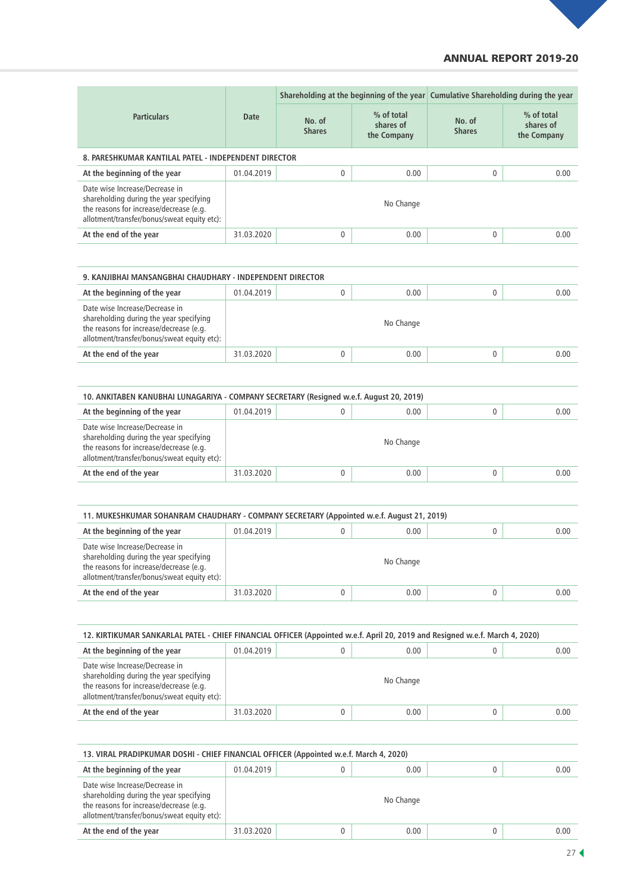### ANNUAL REPORT 2019-20

| <b>Particulars</b>                                                                                                                                                  |            | Shareholding at the beginning of the year Cumulative Shareholding during the year |                                        |                         |                                        |  |
|---------------------------------------------------------------------------------------------------------------------------------------------------------------------|------------|-----------------------------------------------------------------------------------|----------------------------------------|-------------------------|----------------------------------------|--|
|                                                                                                                                                                     | Date       | No. of<br><b>Shares</b>                                                           | % of total<br>shares of<br>the Company | No. of<br><b>Shares</b> | % of total<br>shares of<br>the Company |  |
| 8. PARESHKUMAR KANTILAL PATEL - INDEPENDENT DIRECTOR                                                                                                                |            |                                                                                   |                                        |                         |                                        |  |
| At the beginning of the year                                                                                                                                        | 01.04.2019 | $\mathbf{0}$                                                                      | 0.00                                   | 0                       | 0.00                                   |  |
| Date wise Increase/Decrease in<br>shareholding during the year specifying<br>the reasons for increase/decrease (e.g.<br>allotment/transfer/bonus/sweat equity etc): |            |                                                                                   | No Change                              |                         |                                        |  |
| At the end of the year                                                                                                                                              | 31.03.2020 | $\mathbf{0}$                                                                      | 0.00                                   | 0                       | 0.00                                   |  |

| 9. KANJIBHAI MANSANGBHAI CHAUDHARY - INDEPENDENT DIRECTOR                                                                                                           |            |              |           |  |      |  |  |
|---------------------------------------------------------------------------------------------------------------------------------------------------------------------|------------|--------------|-----------|--|------|--|--|
| At the beginning of the year                                                                                                                                        | 01.04.2019 | 0            | 0.00      |  | 0.00 |  |  |
| Date wise Increase/Decrease in<br>shareholding during the year specifying<br>the reasons for increase/decrease (e.g.<br>allotment/transfer/bonus/sweat equity etc): |            |              | No Change |  |      |  |  |
| At the end of the year                                                                                                                                              | 31.03.2020 | $\mathbf{0}$ | 0.00      |  | 0.00 |  |  |

| 10. ANKITABEN KANUBHAI LUNAGARIYA - COMPANY SECRETARY (Resigned w.e.f. August 20, 2019)                                                                             |            |  |           |   |      |  |  |
|---------------------------------------------------------------------------------------------------------------------------------------------------------------------|------------|--|-----------|---|------|--|--|
| At the beginning of the year                                                                                                                                        | 01.04.2019 |  | 0.00      | 0 | 0.00 |  |  |
| Date wise Increase/Decrease in<br>shareholding during the year specifying<br>the reasons for increase/decrease (e.g.<br>allotment/transfer/bonus/sweat equity etc): |            |  | No Change |   |      |  |  |
| At the end of the year                                                                                                                                              | 31.03.2020 |  | 0.00      |   | 0.00 |  |  |

| 11. MUKESHKUMAR SOHANRAM CHAUDHARY - COMPANY SECRETARY (Appointed w.e.f. August 21, 2019)                                                                           |            |  |           |  |      |  |  |
|---------------------------------------------------------------------------------------------------------------------------------------------------------------------|------------|--|-----------|--|------|--|--|
| At the beginning of the year                                                                                                                                        | 01.04.2019 |  | 0.00      |  | 0.00 |  |  |
| Date wise Increase/Decrease in<br>shareholding during the year specifying<br>the reasons for increase/decrease (e.g.<br>allotment/transfer/bonus/sweat equity etc): |            |  | No Change |  |      |  |  |
| At the end of the year                                                                                                                                              | 31.03.2020 |  | 0.00      |  | 0.00 |  |  |

| 12. KIRTIKUMAR SANKARLAL PATEL - CHIEF FINANCIAL OFFICER (Appointed w.e.f. April 20, 2019 and Resigned w.e.f. March 4, 2020)                                        |            |  |           |  |      |  |  |
|---------------------------------------------------------------------------------------------------------------------------------------------------------------------|------------|--|-----------|--|------|--|--|
| At the beginning of the year                                                                                                                                        | 01.04.2019 |  | 0.00      |  | 0.00 |  |  |
| Date wise Increase/Decrease in<br>shareholding during the year specifying<br>the reasons for increase/decrease (e.g.<br>allotment/transfer/bonus/sweat equity etc): |            |  | No Change |  |      |  |  |
| At the end of the year                                                                                                                                              | 31.03.2020 |  | 0.00      |  | 0.00 |  |  |

| 13. VIRAL PRADIPKUMAR DOSHI - CHIEF FINANCIAL OFFICER (Appointed w.e.f. March 4, 2020)                                                                              |            |  |           |  |      |  |  |
|---------------------------------------------------------------------------------------------------------------------------------------------------------------------|------------|--|-----------|--|------|--|--|
| At the beginning of the year                                                                                                                                        | 01.04.2019 |  | 0.00      |  | 0.00 |  |  |
| Date wise Increase/Decrease in<br>shareholding during the year specifying<br>the reasons for increase/decrease (e.g.<br>allotment/transfer/bonus/sweat equity etc): |            |  | No Change |  |      |  |  |
| At the end of the year                                                                                                                                              | 31.03.2020 |  | 0.00      |  | 0.00 |  |  |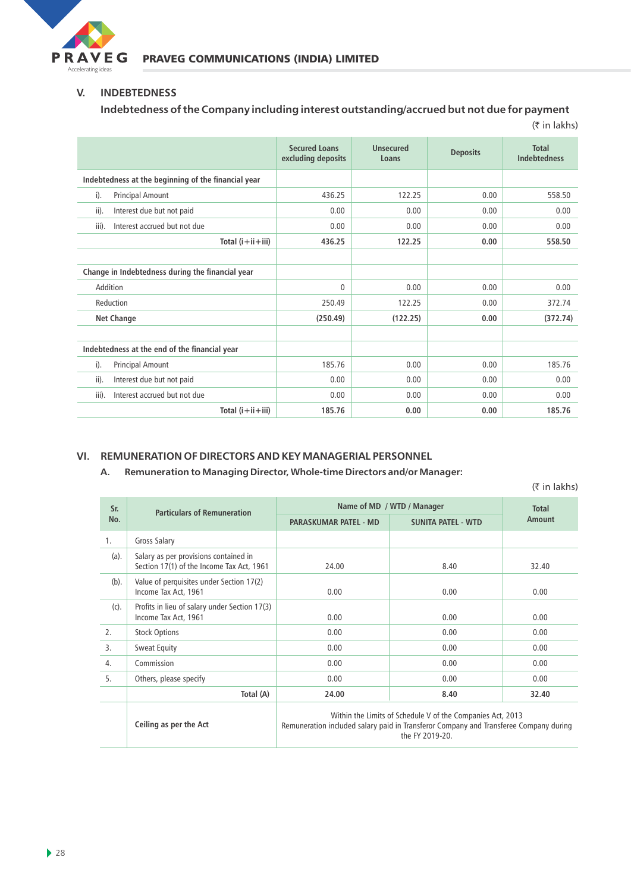

#### **V. INDEBTEDNESS**

**Indebtedness of the Company including interest outstanding/accrued but not due for payment**

| $(5 \in \mathsf{In} \, \mathsf{lakhs})$             |                                            |                    |                 |                                     |  |  |
|-----------------------------------------------------|--------------------------------------------|--------------------|-----------------|-------------------------------------|--|--|
|                                                     | <b>Secured Loans</b><br>excluding deposits | Unsecured<br>Loans | <b>Deposits</b> | <b>Total</b><br><b>Indebtedness</b> |  |  |
| Indebtedness at the beginning of the financial year |                                            |                    |                 |                                     |  |  |
| i).<br><b>Principal Amount</b>                      | 436.25                                     | 122.25             | 0.00            | 558.50                              |  |  |
| Interest due but not paid<br>ii).                   | 0.00                                       | 0.00               | 0.00            | 0.00                                |  |  |
| Interest accrued but not due<br>iii).               | 0.00                                       | 0.00               | 0.00            | 0.00                                |  |  |
| Total $(i+ii+iii)$                                  | 436.25                                     | 122.25             | 0.00            | 558.50                              |  |  |
|                                                     |                                            |                    |                 |                                     |  |  |
| Change in Indebtedness during the financial year    |                                            |                    |                 |                                     |  |  |
| Addition                                            | $\mathbf{0}$                               | 0.00               | 0.00            | 0.00                                |  |  |
| Reduction                                           | 250.49                                     | 122.25             | 0.00            | 372.74                              |  |  |
| <b>Net Change</b>                                   | (250.49)                                   | (122.25)           | 0.00            | (372.74)                            |  |  |
|                                                     |                                            |                    |                 |                                     |  |  |
| Indebtedness at the end of the financial year       |                                            |                    |                 |                                     |  |  |
| $i$ ).<br><b>Principal Amount</b>                   | 185.76                                     | 0.00               | 0.00            | 185.76                              |  |  |
| ii).<br>Interest due but not paid                   | 0.00                                       | 0.00               | 0.00            | 0.00                                |  |  |
| Interest accrued but not due<br>iii).               | 0.00                                       | 0.00               | 0.00            | 0.00                                |  |  |
| Total $(i+ii+iii)$                                  | 185.76                                     | 0.00               | 0.00            | 185.76                              |  |  |

## **VI. REMUNERATION OF DIRECTORS AND KEY MANAGERIAL PERSONNEL**

**A. Remuneration to Managing Director, Whole-time Directors and/or Manager:** 

(₹ in lakhs)

| Sr.     | <b>Particulars of Remuneration</b>                                                 | Name of MD / WTD / Manager                                                                                                                                             | Total                     |        |  |  |
|---------|------------------------------------------------------------------------------------|------------------------------------------------------------------------------------------------------------------------------------------------------------------------|---------------------------|--------|--|--|
| No.     |                                                                                    | <b>PARASKUMAR PATEL - MD</b>                                                                                                                                           | <b>SUNITA PATEL - WTD</b> | Amount |  |  |
| 1.      | Gross Salary                                                                       |                                                                                                                                                                        |                           |        |  |  |
| (a).    | Salary as per provisions contained in<br>Section 17(1) of the Income Tax Act, 1961 | 24.00                                                                                                                                                                  | 8.40                      | 32.40  |  |  |
| $(b)$ . | Value of perquisites under Section 17(2)<br>Income Tax Act, 1961                   | 0.00                                                                                                                                                                   | 0.00                      | 0.00   |  |  |
| (c).    | Profits in lieu of salary under Section 17(3)<br>Income Tax Act, 1961              | 0.00                                                                                                                                                                   | 0.00                      | 0.00   |  |  |
| 2.      | <b>Stock Options</b>                                                               | 0.00                                                                                                                                                                   | 0.00                      | 0.00   |  |  |
| 3.      | <b>Sweat Equity</b>                                                                | 0.00                                                                                                                                                                   | 0.00                      | 0.00   |  |  |
| 4.      | Commission                                                                         | 0.00                                                                                                                                                                   | 0.00                      | 0.00   |  |  |
| 5.      | Others, please specify                                                             | 0.00                                                                                                                                                                   | 0.00                      | 0.00   |  |  |
|         | Total (A)                                                                          | 24.00                                                                                                                                                                  | 8.40                      | 32.40  |  |  |
|         | Ceiling as per the Act                                                             | Within the Limits of Schedule V of the Companies Act, 2013<br>Remuneration included salary paid in Transferor Company and Transferee Company during<br>the FY 2019-20. |                           |        |  |  |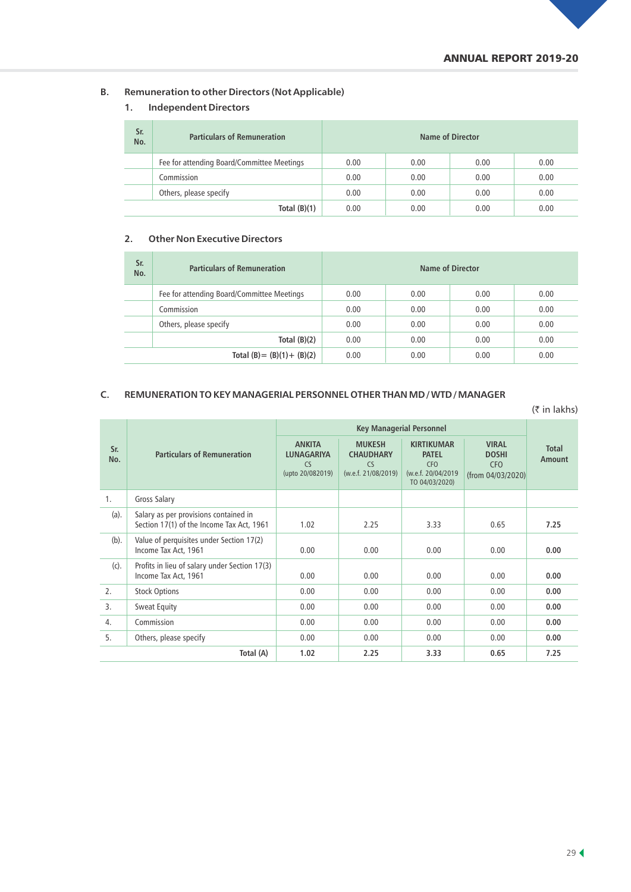## **B. Remuneration to other Directors (Not Applicable)**

# **1. Independent Directors**

| Sr.<br>No. | <b>Particulars of Remuneration</b>         | Name of Director |      |      |      |  |  |
|------------|--------------------------------------------|------------------|------|------|------|--|--|
|            | Fee for attending Board/Committee Meetings | 0.00             | 0.00 | 0.00 | 0.00 |  |  |
|            | Commission                                 | 0.00             | 0.00 | 0.00 | 0.00 |  |  |
|            | Others, please specify                     | 0.00             | 0.00 | 0.00 | 0.00 |  |  |
|            | Total $(B)(1)$                             | 0.00             | 0.00 | 0.00 | 0.00 |  |  |

#### **2. Other Non Executive Directors**

| Sr.<br>No. | <b>Particulars of Remuneration</b>         | Name of Director |      |      |      |  |
|------------|--------------------------------------------|------------------|------|------|------|--|
|            | Fee for attending Board/Committee Meetings | 0.00             | 0.00 | 0.00 | 0.00 |  |
|            | Commission                                 | 0.00             | 0.00 | 0.00 | 0.00 |  |
|            | Others, please specify                     | 0.00             | 0.00 | 0.00 | 0.00 |  |
|            | Total $(B)(2)$                             | 0.00             | 0.00 | 0.00 | 0.00 |  |
|            | Total $(B) = (B)(1) + (B)(2)$              | 0.00             | 0.00 | 0.00 | 0.00 |  |

#### **C. REMUNERATION TO KEY MANAGERIAL PERSONNEL OTHER THAN MD / WTD / MANAGER**

| $(5 \in \mathsf{In} \, \mathsf{lakhs})$ |                                                                                    |                                                              |                                                                |                                                                                         |                                                                 |                        |  |
|-----------------------------------------|------------------------------------------------------------------------------------|--------------------------------------------------------------|----------------------------------------------------------------|-----------------------------------------------------------------------------------------|-----------------------------------------------------------------|------------------------|--|
|                                         |                                                                                    |                                                              |                                                                |                                                                                         |                                                                 |                        |  |
| Sr.<br>No.                              | <b>Particulars of Remuneration</b>                                                 | <b>ANKITA</b><br><b>LUNAGARIYA</b><br>CS<br>(upto 20/082019) | <b>MUKESH</b><br><b>CHAUDHARY</b><br>CS<br>(w.e.f. 21/08/2019) | <b>KIRTIKUMAR</b><br><b>PATEL</b><br><b>CFO</b><br>(w.e.f. 20/04/2019<br>TO 04/03/2020) | <b>VIRAL</b><br><b>DOSHI</b><br><b>CFO</b><br>(from 04/03/2020) | <b>Total</b><br>Amount |  |
| 1.                                      | Gross Salary                                                                       |                                                              |                                                                |                                                                                         |                                                                 |                        |  |
| (a).                                    | Salary as per provisions contained in<br>Section 17(1) of the Income Tax Act, 1961 | 1.02                                                         | 2.25                                                           | 3.33                                                                                    | 0.65                                                            | 7.25                   |  |
| $(b)$ .                                 | Value of perquisites under Section 17(2)<br>Income Tax Act, 1961                   | 0.00                                                         | 0.00                                                           | 0.00                                                                                    | 0.00                                                            | 0.00                   |  |
| (c).                                    | Profits in lieu of salary under Section 17(3)<br>Income Tax Act, 1961              | 0.00                                                         | 0.00                                                           | 0.00                                                                                    | 0.00                                                            | 0.00                   |  |
| 2.                                      | <b>Stock Options</b>                                                               | 0.00                                                         | 0.00                                                           | 0.00                                                                                    | 0.00                                                            | 0.00                   |  |
| 3.                                      | <b>Sweat Equity</b>                                                                | 0.00                                                         | 0.00                                                           | 0.00                                                                                    | 0.00                                                            | 0.00                   |  |
| 4.                                      | Commission                                                                         | 0.00                                                         | 0.00                                                           | 0.00                                                                                    | 0.00                                                            | 0.00                   |  |
| 5.                                      | Others, please specify                                                             | 0.00                                                         | 0.00                                                           | 0.00                                                                                    | 0.00                                                            | 0.00                   |  |
|                                         | Total (A)                                                                          | 1.02                                                         | 2.25                                                           | 3.33                                                                                    | 0.65                                                            | 7.25                   |  |